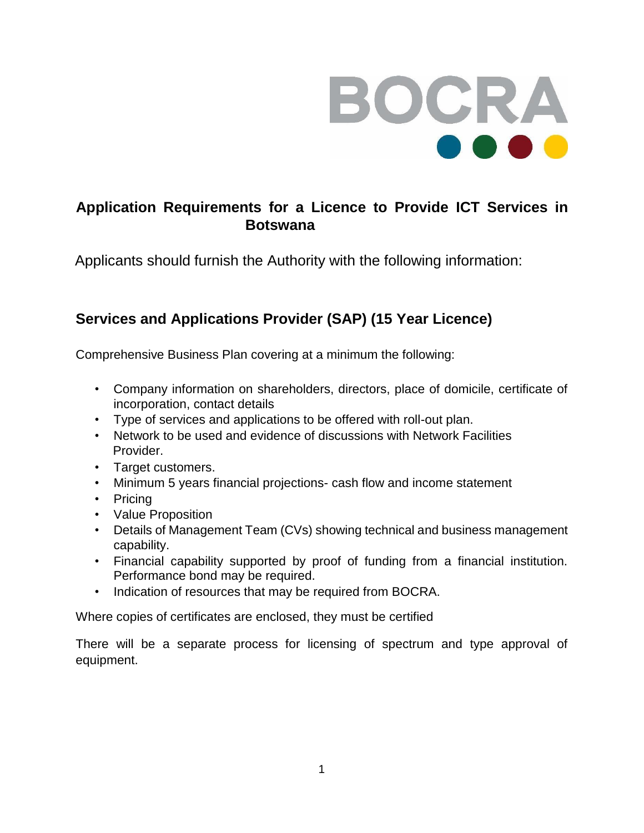

## **Application Requirements for a Licence to Provide ICT Services in Botswana**

Applicants should furnish the Authority with the following information:

# **Services and Applications Provider (SAP) (15 Year Licence)**

Comprehensive Business Plan covering at a minimum the following:

- Company information on shareholders, directors, place of domicile, certificate of incorporation, contact details
- Type of services and applications to be offered with roll-out plan.
- Network to be used and evidence of discussions with Network Facilities Provider.
- Target customers.
- Minimum 5 years financial projections- cash flow and income statement
- Pricing
- Value Proposition
- Details of Management Team (CVs) showing technical and business management capability.
- Financial capability supported by proof of funding from a financial institution. Performance bond may be required.
- Indication of resources that may be required from BOCRA.

Where copies of certificates are enclosed, they must be certified

There will be a separate process for licensing of spectrum and type approval of equipment.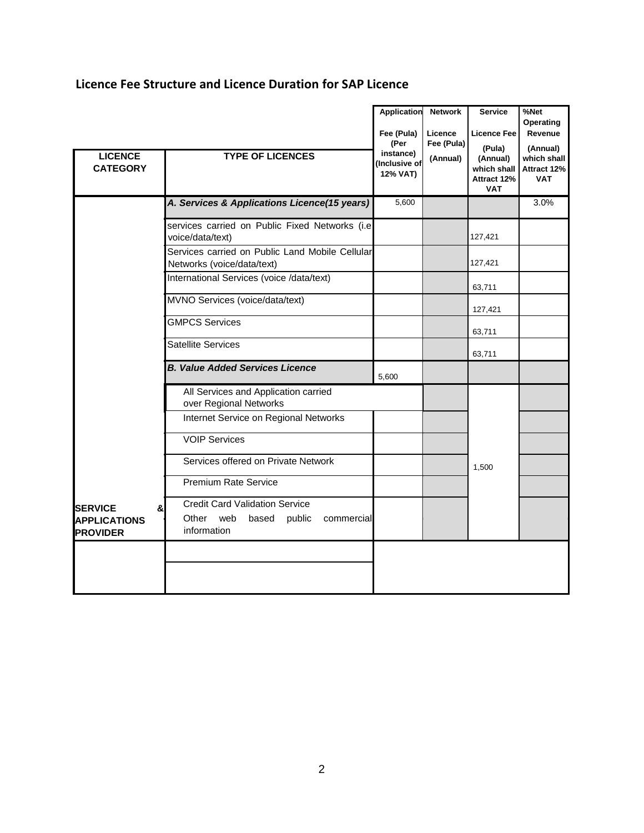### **Licence Fee Structure and Licence Duration for SAP Licence**

| <b>LICENCE</b><br><b>CATEGORY</b>                              | <b>TYPE OF LICENCES</b>                                                                            | Application<br>Fee (Pula)<br>(Per<br>instance)<br>(Inclusive of<br>12% VAT) | <b>Network</b><br>Licence<br>Fee (Pula)<br>(Annual) | <b>Service</b><br>Licence Fee<br>(Pula)<br>(Annual)<br>which shall<br>Attract 12%<br><b>VAT</b> | %Net<br>Operating<br>Revenue<br>(Annual)<br>which shall<br>Attract 12%<br><b>VAT</b> |
|----------------------------------------------------------------|----------------------------------------------------------------------------------------------------|-----------------------------------------------------------------------------|-----------------------------------------------------|-------------------------------------------------------------------------------------------------|--------------------------------------------------------------------------------------|
|                                                                | A. Services & Applications Licence(15 years)                                                       | 5,600                                                                       |                                                     |                                                                                                 | 3.0%                                                                                 |
|                                                                | services carried on Public Fixed Networks (i.e<br>voice/data/text)                                 |                                                                             |                                                     | 127,421                                                                                         |                                                                                      |
|                                                                | Services carried on Public Land Mobile Cellular<br>Networks (voice/data/text)                      |                                                                             |                                                     | 127,421                                                                                         |                                                                                      |
|                                                                | International Services (voice /data/text)                                                          |                                                                             |                                                     | 63,711                                                                                          |                                                                                      |
|                                                                | MVNO Services (voice/data/text)                                                                    |                                                                             |                                                     | 127,421                                                                                         |                                                                                      |
|                                                                | <b>GMPCS Services</b>                                                                              |                                                                             |                                                     | 63,711                                                                                          |                                                                                      |
|                                                                | Satellite Services                                                                                 |                                                                             |                                                     | 63,711                                                                                          |                                                                                      |
|                                                                | <b>B. Value Added Services Licence</b>                                                             | 5.600                                                                       |                                                     |                                                                                                 |                                                                                      |
|                                                                | All Services and Application carried<br>over Regional Networks                                     |                                                                             |                                                     |                                                                                                 |                                                                                      |
|                                                                | Internet Service on Regional Networks                                                              |                                                                             |                                                     |                                                                                                 |                                                                                      |
|                                                                | <b>VOIP Services</b>                                                                               |                                                                             |                                                     |                                                                                                 |                                                                                      |
|                                                                | Services offered on Private Network                                                                |                                                                             |                                                     | 1,500                                                                                           |                                                                                      |
|                                                                | <b>Premium Rate Service</b>                                                                        |                                                                             |                                                     |                                                                                                 |                                                                                      |
| <b>ISERVICE</b><br>&<br><b>APPLICATIONS</b><br><b>PROVIDER</b> | <b>Credit Card Validation Service</b><br>Other web<br>based<br>public<br>commercial<br>information |                                                                             |                                                     |                                                                                                 |                                                                                      |
|                                                                |                                                                                                    |                                                                             |                                                     |                                                                                                 |                                                                                      |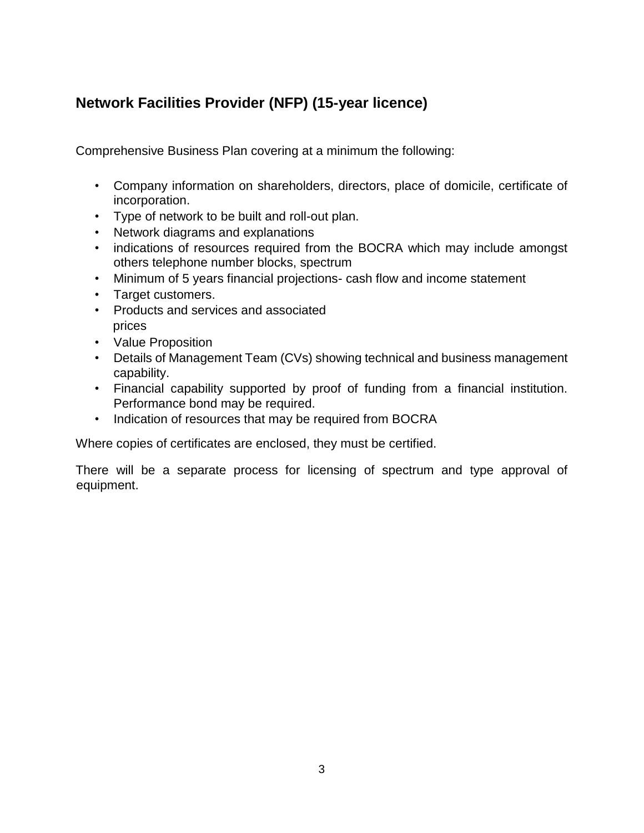# **Network Facilities Provider (NFP) (15-year licence)**

Comprehensive Business Plan covering at a minimum the following:

- Company information on shareholders, directors, place of domicile, certificate of incorporation.
- Type of network to be built and roll-out plan.
- Network diagrams and explanations
- indications of resources required from the BOCRA which may include amongst others telephone number blocks, spectrum
- Minimum of 5 years financial projections- cash flow and income statement
- Target customers.
- Products and services and associated prices
- Value Proposition
- Details of Management Team (CVs) showing technical and business management capability.
- Financial capability supported by proof of funding from a financial institution. Performance bond may be required.
- Indication of resources that may be required from BOCRA

Where copies of certificates are enclosed, they must be certified.

There will be a separate process for licensing of spectrum and type approval of equipment.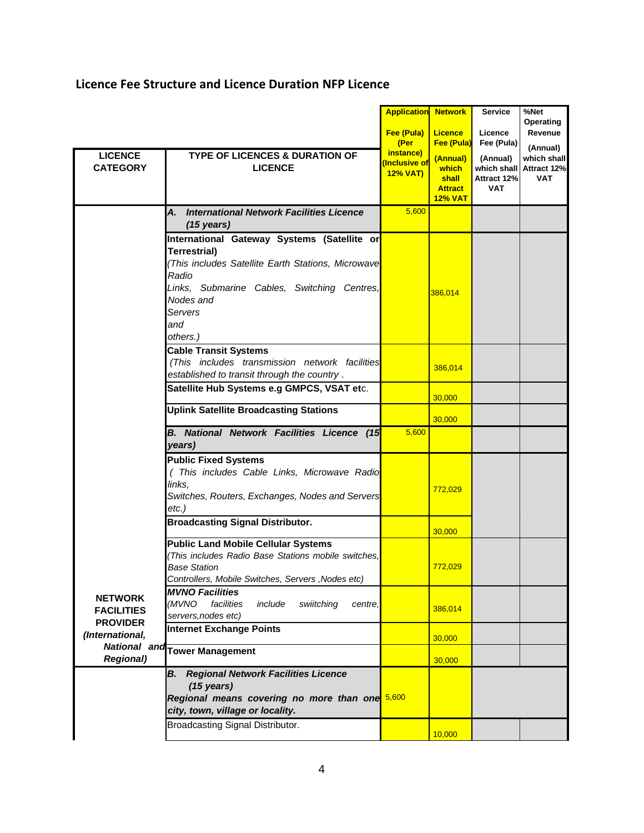#### **Licence Fee Structure and Licence Duration NFP Licence**

| <b>LICENCE</b><br><b>CATEGORY</b>                                         | <b>TYPE OF LICENCES &amp; DURATION OF</b><br><b>LICENCE</b>                                                                                                                                                         | <b>Application Network</b><br>Fee (Pula)<br>(Per<br>instance)<br>Inclusive of<br><b>12% VAT)</b> | <b>Licence</b><br>Fee (Pula)<br>(Annual)<br>which<br>shall | <b>Service</b><br>Licence<br>Fee (Pula)<br>(Annual)<br>which shall<br>Attract 12% | %Net<br>Operating<br>Revenue<br>(Annual)<br>which shall<br>Attract 12%<br><b>VAT</b> |
|---------------------------------------------------------------------------|---------------------------------------------------------------------------------------------------------------------------------------------------------------------------------------------------------------------|--------------------------------------------------------------------------------------------------|------------------------------------------------------------|-----------------------------------------------------------------------------------|--------------------------------------------------------------------------------------|
|                                                                           |                                                                                                                                                                                                                     |                                                                                                  | <b>Attract</b><br><b>12% VAT</b>                           | <b>VAT</b>                                                                        |                                                                                      |
|                                                                           | <b>International Network Facilities Licence</b><br>А.<br>$(15 \text{ years})$                                                                                                                                       | 5,600                                                                                            |                                                            |                                                                                   |                                                                                      |
|                                                                           | International Gateway Systems (Satellite or<br>Terrestrial)<br>This includes Satellite Earth Stations, Microwave<br>Radio<br>Links, Submarine Cables, Switching Centres,<br>Nodes and<br>Servers<br>and<br>others.) |                                                                                                  | 386,014                                                    |                                                                                   |                                                                                      |
|                                                                           | <b>Cable Transit Systems</b><br>(This includes transmission network facilities<br>established to transit through the country.                                                                                       |                                                                                                  | 386,014                                                    |                                                                                   |                                                                                      |
|                                                                           | Satellite Hub Systems e.g GMPCS, VSAT etc.                                                                                                                                                                          |                                                                                                  | 30,000                                                     |                                                                                   |                                                                                      |
|                                                                           | <b>Uplink Satellite Broadcasting Stations</b>                                                                                                                                                                       |                                                                                                  | 30,000                                                     |                                                                                   |                                                                                      |
|                                                                           | <b>B. National Network Facilities Licence (15</b><br>years)                                                                                                                                                         | 5,600                                                                                            |                                                            |                                                                                   |                                                                                      |
|                                                                           | <b>Public Fixed Systems</b><br>(This includes Cable Links, Microwave Radio<br>links,<br>Switches, Routers, Exchanges, Nodes and Servers<br>$etc.$ )                                                                 |                                                                                                  | 772,029                                                    |                                                                                   |                                                                                      |
|                                                                           | <b>Broadcasting Signal Distributor.</b>                                                                                                                                                                             |                                                                                                  | 30,000                                                     |                                                                                   |                                                                                      |
| <b>NETWORK</b><br><b>FACILITIES</b><br><b>PROVIDER</b><br>(International, | <b>Public Land Mobile Cellular Systems</b><br>(This includes Radio Base Stations mobile switches,<br>Base Station<br>Controllers, Mobile Switches, Servers, Nodes etc)                                              |                                                                                                  | 772,029                                                    |                                                                                   |                                                                                      |
|                                                                           | <b>MVNO Facilities</b><br>(MVNO<br>facilities<br>include<br>swiitching<br>centre.<br>servers, nodes etc)                                                                                                            |                                                                                                  | 386,014                                                    |                                                                                   |                                                                                      |
|                                                                           | <b>Internet Exchange Points</b>                                                                                                                                                                                     |                                                                                                  | 30,000                                                     |                                                                                   |                                                                                      |
| <b>Regional)</b>                                                          | National and Tower Management                                                                                                                                                                                       |                                                                                                  | 30,000                                                     |                                                                                   |                                                                                      |
|                                                                           | <b>Regional Network Facilities Licence</b><br>В.<br>$(15 \text{ years})$<br>Regional means covering no more than one 5,600<br>city, town, village or locality.                                                      |                                                                                                  |                                                            |                                                                                   |                                                                                      |
|                                                                           | Broadcasting Signal Distributor.                                                                                                                                                                                    |                                                                                                  | 10,000                                                     |                                                                                   |                                                                                      |